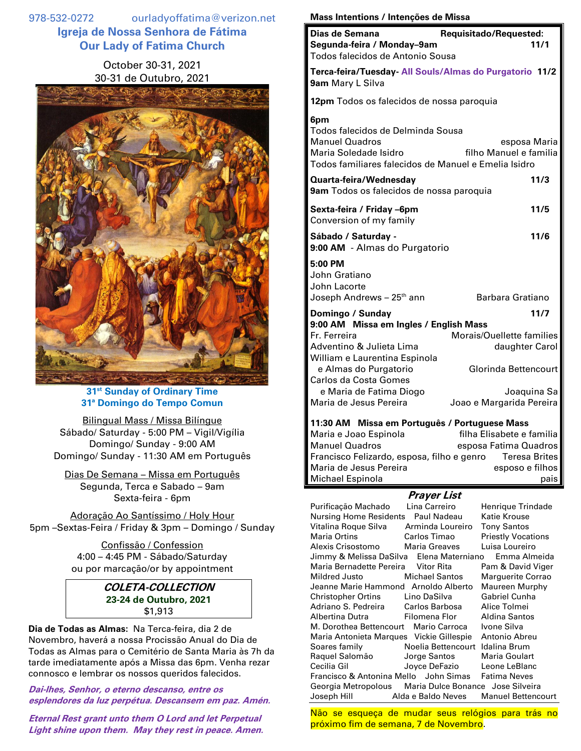978-532-0272 ourladyoffatima@verizon.net **Igreja de Nossa Senhora de Fátima Our Lady of Fatima Church**

## October 30-31, 2021 30-31 de Outubro, 2021



**31 st Sunday of Ordinary Time 31ª Domingo do Tempo Comun**

Bilingual Mass / Missa Bilíngue Sábado/ Saturday - 5:00 PM – Vigil/Vigília Domingo/ Sunday - 9:00 AM Domingo/ Sunday - 11:30 AM em Português

Dias De Semana – Missa em Português Segunda, Terca e Sabado – 9am Sexta-feira - 6pm

Adoração Ao Santíssimo / Holy Hour 5pm –Sextas-Feira / Friday & 3pm – Domingo / Sunday

> Confissão / Confession 4:00 – 4:45 PM - Sábado/Saturday ou por marcação/or by appointment

## **COLETA-COLLECTION 23-24 de Outubro, 2021** \$1,913

**Dia de Todas as Almas:** Na Terca-feira, dia 2 de Novembro, haverá a nossa Procissão Anual do Dia de Todas as Almas para o Cemitério de Santa Maria às 7h da tarde imediatamente após a Missa das 6pm. Venha rezar connosco e lembrar os nossos queridos falecidos.

**Dai-lhes, Senhor, o eterno descanso, entre os esplendores da luz perpétua. Descansem em paz. Amén.**

**Eternal Rest grant unto them O Lord and let Perpetual Light shine upon them. May they rest in peace. Amen.**

## **Mass Intentions / Intenções de Missa**

| Dias de Semana<br>Segunda-feira / Monday-9am<br>Todos falecidos de Antonio Sousa                                                                                                                 | Requisitado/Requested:<br>11/1                                                     |
|--------------------------------------------------------------------------------------------------------------------------------------------------------------------------------------------------|------------------------------------------------------------------------------------|
| Terca-feira/Tuesday- All Souls/Almas do Purgatorio 11/2<br>9am Mary L Silva                                                                                                                      |                                                                                    |
| 12pm Todos os falecidos de nossa paroquia                                                                                                                                                        |                                                                                    |
| 6pm<br>Todos falecidos de Delminda Sousa<br><b>Manuel Quadros</b><br>Maria Soledade Isidro<br>Todos familiares falecidos de Manuel e Emelia Isidro                                               | esposa Maria<br>filho Manuel e familia                                             |
| Quarta-feira/Wednesday<br>9am Todos os falecidos de nossa paroquia                                                                                                                               | 11/3                                                                               |
| Sexta-feira / Friday -6pm<br>Conversion of my family                                                                                                                                             | 11/5                                                                               |
| Sábado / Saturday -<br>9:00 AM - Almas do Purgatorio                                                                                                                                             | 11/6                                                                               |
| 5:00 PM<br>John Gratiano<br>John Lacorte<br>Joseph Andrews - 25 <sup>th</sup> ann                                                                                                                | Barbara Gratiano                                                                   |
| Domingo / Sunday                                                                                                                                                                                 | 11/7                                                                               |
| 9:00 AM Missa em Ingles / English Mass<br>Fr. Ferreira<br>Adventino & Julieta Lima<br>William e Laurentina Espinola<br>e Almas do Purgatorio<br>Carlos da Costa Gomes<br>e Maria de Fatima Diogo | Morais/Ouellette families<br>daughter Carol<br>Glorinda Bettencourt<br>Joaquina Sa |
| Maria de Jesus Pereira<br>Joao e Margarida Pereira<br>11:30 AM Missa em Português / Portuguese Mass                                                                                              |                                                                                    |

Maria e Joao Espinola filha Elisabete e familia Manuel Quadros esposa Fatima Quadros Francisco Felizardo, esposa, filho e genro Teresa Brites Maria de Jesus Pereira esposo e filhos Michael Espinola **pais** pais

## **Prayer List**

Purificação Machado Lina Carreiro Henrique Trindade Nursing Home Residents Paul Nadeau Katie Krouse Vitalina Roque Silva Arminda Loureiro Tony Santos Maria Ortins **Carlos Timao** Priestly Vocations Alexis Crisostomo Maria Greaves Luisa Loureiro Jimmy & Melissa DaSilva Elena Materniano Emma Almeida Maria Bernadette Pereira Vitor Rita Pam & David Viger Mildred Justo Michael Santos Marguerite Corrao Jeanne Marie Hammond Arnoldo Alberto Maureen Murphy Christopher Ortins Lino DaSilva Gabriel Cunha Adriano S. Pedreira Carlos Barbosa Alice Tolmei Albertina Dutra Filomena Flor Aldina Santos M. Dorothea Bettencourt Mario Carroca Ivone Silva Maria Antonieta Marques Vickie Gillespie Antonio Abreu Soares family Noelia Bettencourt Idalina Brum Raquel Salomão Jorge Santos Maria Goulart Cecilia Gil Joyce DeFazio Leone LeBlanc Francisco & Antonina Mello John Simas Fatima Neves Georgia Metropolous Maria Dulce Bonance Jose Silveira Joseph Hill Alda e Baldo Neves Manuel Bettencourt

Não se esqueça de mudar seus relógios para trás no próximo fim de semana, 7 de Novembro.